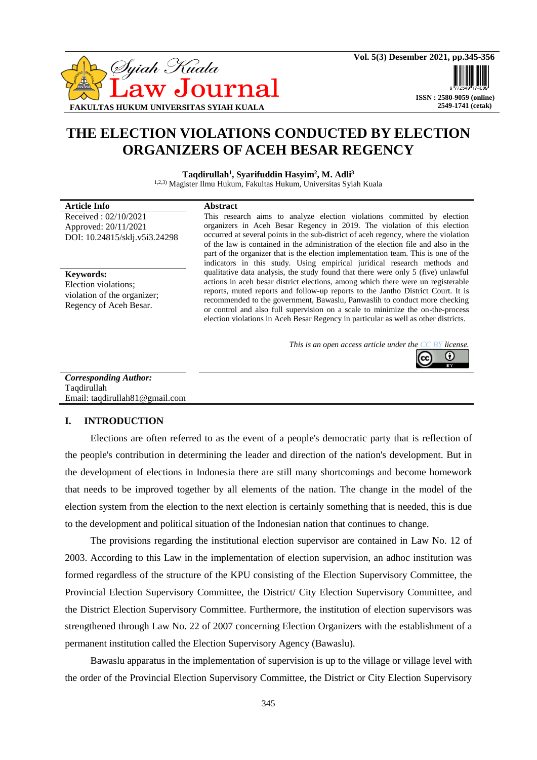

# **THE ELECTION VIOLATIONS CONDUCTED BY ELECTION ORGANIZERS OF ACEH BESAR REGENCY**

**Taqdirullah<sup>1</sup> , Syarifuddin Hasyim<sup>2</sup> , M. Adli<sup>3</sup>**

1,2,3) Magister Ilmu Hukum, Fakultas Hukum, Universitas Syiah Kuala

#### **Article Info Abstract**

Received : 02/10/2021 Approved: 20/11/2021 DOI: 10.24815/sklj.v5i3.24298

**Keywords:** Election violations; violation of the organizer; Regency of Aceh Besar.

This research aims to analyze election violations committed by election organizers in Aceh Besar Regency in 2019. The violation of this election occurred at several points in the sub-district of aceh regency, where the violation of the law is contained in the administration of the election file and also in the part of the organizer that is the election implementation team. This is one of the indicators in this study. Using empirical juridical research methods and qualitative data analysis, the study found that there were only 5 (five) unlawful actions in aceh besar district elections, among which there were un registerable reports, muted reports and follow-up reports to the Jantho District Court. It is recommended to the government, Bawaslu, Panwaslih to conduct more checking or control and also full supervision on a scale to minimize the on-the-process election violations in Aceh Besar Regency in particular as well as other districts.

> *This is an open access article under the [CC BY](https://creativecommons.org/licenses/by/4.0/) license.* O

*Corresponding Author:* Taqdirullah Email: [taqdirullah81@gmail.com](mailto:taqdirullah81@gmail.com)

#### **I. INTRODUCTION**

Elections are often referred to as the event of a people's democratic party that is reflection of the people's contribution in determining the leader and direction of the nation's development. But in the development of elections in Indonesia there are still many shortcomings and become homework that needs to be improved together by all elements of the nation. The change in the model of the election system from the election to the next election is certainly something that is needed, this is due to the development and political situation of the Indonesian nation that continues to change.

The provisions regarding the institutional election supervisor are contained in Law No. 12 of 2003. According to this Law in the implementation of election supervision, an adhoc institution was formed regardless of the structure of the KPU consisting of the Election Supervisory Committee, the Provincial Election Supervisory Committee, the District/ City Election Supervisory Committee, and the District Election Supervisory Committee. Furthermore, the institution of election supervisors was strengthened through Law No. 22 of 2007 concerning Election Organizers with the establishment of a permanent institution called the Election Supervisory Agency (Bawaslu).

Bawaslu apparatus in the implementation of supervision is up to the village or village level with the order of the Provincial Election Supervisory Committee, the District or City Election Supervisory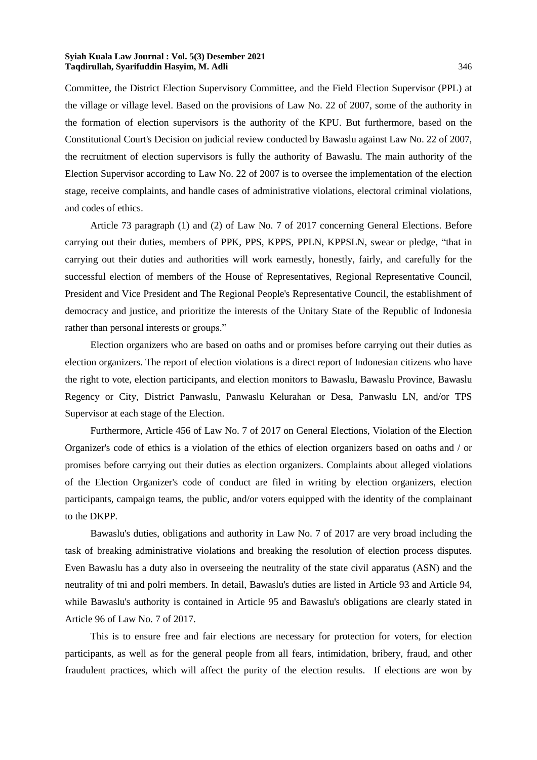Committee, the District Election Supervisory Committee, and the Field Election Supervisor (PPL) at the village or village level. Based on the provisions of Law No. 22 of 2007, some of the authority in the formation of election supervisors is the authority of the KPU. But furthermore, based on the Constitutional Court's Decision on judicial review conducted by Bawaslu against Law No. 22 of 2007, the recruitment of election supervisors is fully the authority of Bawaslu. The main authority of the Election Supervisor according to Law No. 22 of 2007 is to oversee the implementation of the election stage, receive complaints, and handle cases of administrative violations, electoral criminal violations, and codes of ethics.

Article 73 paragraph (1) and (2) of Law No. 7 of 2017 concerning General Elections. Before carrying out their duties, members of PPK, PPS, KPPS, PPLN, KPPSLN, swear or pledge, "that in carrying out their duties and authorities will work earnestly, honestly, fairly, and carefully for the successful election of members of the House of Representatives, Regional Representative Council, President and Vice President and The Regional People's Representative Council, the establishment of democracy and justice, and prioritize the interests of the Unitary State of the Republic of Indonesia rather than personal interests or groups."

Election organizers who are based on oaths and or promises before carrying out their duties as election organizers. The report of election violations is a direct report of Indonesian citizens who have the right to vote, election participants, and election monitors to Bawaslu, Bawaslu Province, Bawaslu Regency or City, District Panwaslu, Panwaslu Kelurahan or Desa, Panwaslu LN, and/or TPS Supervisor at each stage of the Election.

Furthermore, Article 456 of Law No. 7 of 2017 on General Elections, Violation of the Election Organizer's code of ethics is a violation of the ethics of election organizers based on oaths and / or promises before carrying out their duties as election organizers. Complaints about alleged violations of the Election Organizer's code of conduct are filed in writing by election organizers, election participants, campaign teams, the public, and/or voters equipped with the identity of the complainant to the DKPP.

Bawaslu's duties, obligations and authority in Law No. 7 of 2017 are very broad including the task of breaking administrative violations and breaking the resolution of election process disputes. Even Bawaslu has a duty also in overseeing the neutrality of the state civil apparatus (ASN) and the neutrality of tni and polri members. In detail, Bawaslu's duties are listed in Article 93 and Article 94, while Bawaslu's authority is contained in Article 95 and Bawaslu's obligations are clearly stated in Article 96 of Law No. 7 of 2017.

This is to ensure free and fair elections are necessary for protection for voters, for election participants, as well as for the general people from all fears, intimidation, bribery, fraud, and other fraudulent practices, which will affect the purity of the election results. If elections are won by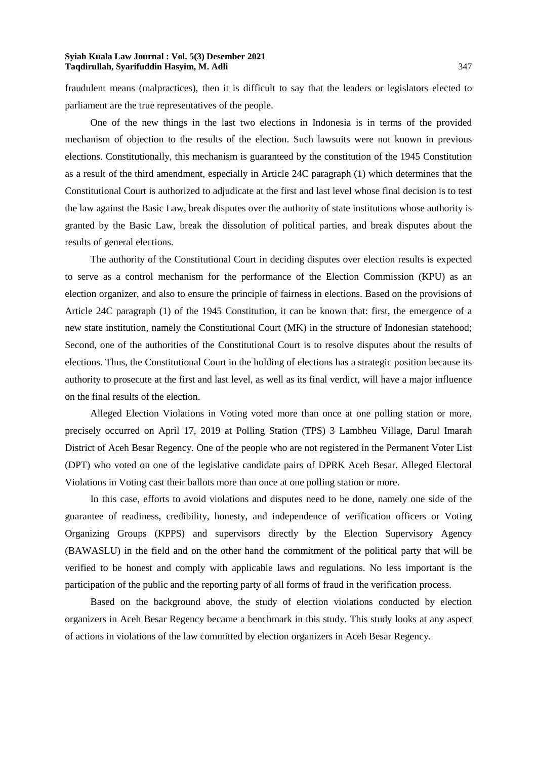fraudulent means (malpractices), then it is difficult to say that the leaders or legislators elected to parliament are the true representatives of the people.

One of the new things in the last two elections in Indonesia is in terms of the provided mechanism of objection to the results of the election. Such lawsuits were not known in previous elections. Constitutionally, this mechanism is guaranteed by the constitution of the 1945 Constitution as a result of the third amendment, especially in Article 24C paragraph (1) which determines that the Constitutional Court is authorized to adjudicate at the first and last level whose final decision is to test the law against the Basic Law, break disputes over the authority of state institutions whose authority is granted by the Basic Law, break the dissolution of political parties, and break disputes about the results of general elections.

The authority of the Constitutional Court in deciding disputes over election results is expected to serve as a control mechanism for the performance of the Election Commission (KPU) as an election organizer, and also to ensure the principle of fairness in elections. Based on the provisions of Article 24C paragraph (1) of the 1945 Constitution, it can be known that: first, the emergence of a new state institution, namely the Constitutional Court (MK) in the structure of Indonesian statehood; Second, one of the authorities of the Constitutional Court is to resolve disputes about the results of elections. Thus, the Constitutional Court in the holding of elections has a strategic position because its authority to prosecute at the first and last level, as well as its final verdict, will have a major influence on the final results of the election.

Alleged Election Violations in Voting voted more than once at one polling station or more, precisely occurred on April 17, 2019 at Polling Station (TPS) 3 Lambheu Village, Darul Imarah District of Aceh Besar Regency. One of the people who are not registered in the Permanent Voter List (DPT) who voted on one of the legislative candidate pairs of DPRK Aceh Besar. Alleged Electoral Violations in Voting cast their ballots more than once at one polling station or more.

In this case, efforts to avoid violations and disputes need to be done, namely one side of the guarantee of readiness, credibility, honesty, and independence of verification officers or Voting Organizing Groups (KPPS) and supervisors directly by the Election Supervisory Agency (BAWASLU) in the field and on the other hand the commitment of the political party that will be verified to be honest and comply with applicable laws and regulations. No less important is the participation of the public and the reporting party of all forms of fraud in the verification process.

Based on the background above, the study of election violations conducted by election organizers in Aceh Besar Regency became a benchmark in this study. This study looks at any aspect of actions in violations of the law committed by election organizers in Aceh Besar Regency.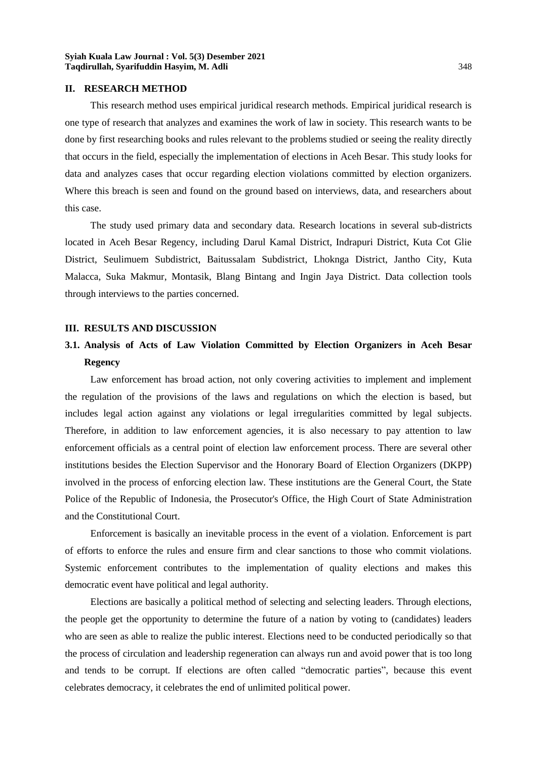#### **II. RESEARCH METHOD**

This research method uses empirical juridical research methods. Empirical juridical research is one type of research that analyzes and examines the work of law in society. This research wants to be done by first researching books and rules relevant to the problems studied or seeing the reality directly that occurs in the field, especially the implementation of elections in Aceh Besar. This study looks for data and analyzes cases that occur regarding election violations committed by election organizers. Where this breach is seen and found on the ground based on interviews, data, and researchers about this case.

The study used primary data and secondary data. Research locations in several sub-districts located in Aceh Besar Regency, including Darul Kamal District, Indrapuri District, Kuta Cot Glie District, Seulimuem Subdistrict, Baitussalam Subdistrict, Lhoknga District, Jantho City, Kuta Malacca, Suka Makmur, Montasik, Blang Bintang and Ingin Jaya District. Data collection tools through interviews to the parties concerned.

#### **III. RESULTS AND DISCUSSION**

# **3.1. Analysis of Acts of Law Violation Committed by Election Organizers in Aceh Besar Regency**

Law enforcement has broad action, not only covering activities to implement and implement the regulation of the provisions of the laws and regulations on which the election is based, but includes legal action against any violations or legal irregularities committed by legal subjects. Therefore, in addition to law enforcement agencies, it is also necessary to pay attention to law enforcement officials as a central point of election law enforcement process. There are several other institutions besides the Election Supervisor and the Honorary Board of Election Organizers (DKPP) involved in the process of enforcing election law. These institutions are the General Court, the State Police of the Republic of Indonesia, the Prosecutor's Office, the High Court of State Administration and the Constitutional Court.

Enforcement is basically an inevitable process in the event of a violation. Enforcement is part of efforts to enforce the rules and ensure firm and clear sanctions to those who commit violations. Systemic enforcement contributes to the implementation of quality elections and makes this democratic event have political and legal authority.

Elections are basically a political method of selecting and selecting leaders. Through elections, the people get the opportunity to determine the future of a nation by voting to (candidates) leaders who are seen as able to realize the public interest. Elections need to be conducted periodically so that the process of circulation and leadership regeneration can always run and avoid power that is too long and tends to be corrupt. If elections are often called "democratic parties", because this event celebrates democracy, it celebrates the end of unlimited political power.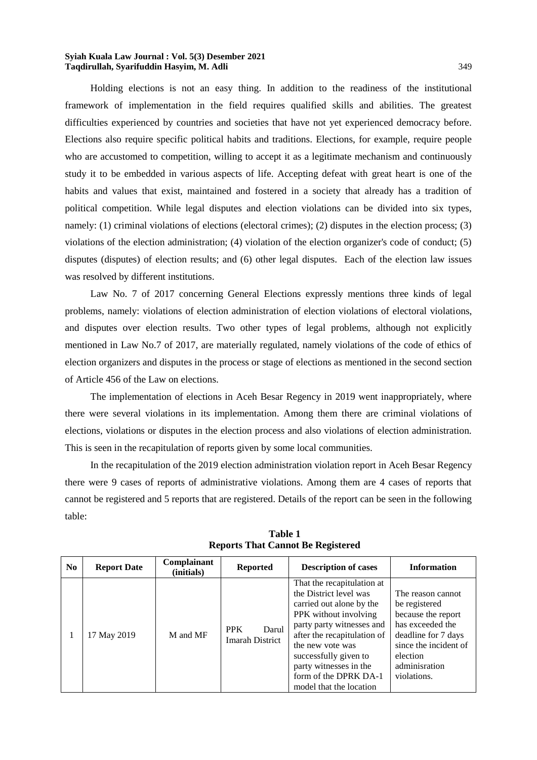Holding elections is not an easy thing. In addition to the readiness of the institutional framework of implementation in the field requires qualified skills and abilities. The greatest difficulties experienced by countries and societies that have not yet experienced democracy before. Elections also require specific political habits and traditions. Elections, for example, require people who are accustomed to competition, willing to accept it as a legitimate mechanism and continuously study it to be embedded in various aspects of life. Accepting defeat with great heart is one of the habits and values that exist, maintained and fostered in a society that already has a tradition of political competition. While legal disputes and election violations can be divided into six types, namely: (1) criminal violations of elections (electoral crimes); (2) disputes in the election process; (3) violations of the election administration; (4) violation of the election organizer's code of conduct; (5) disputes (disputes) of election results; and (6) other legal disputes. Each of the election law issues was resolved by different institutions.

Law No. 7 of 2017 concerning General Elections expressly mentions three kinds of legal problems, namely: violations of election administration of election violations of electoral violations, and disputes over election results. Two other types of legal problems, although not explicitly mentioned in Law No.7 of 2017, are materially regulated, namely violations of the code of ethics of election organizers and disputes in the process or stage of elections as mentioned in the second section of Article 456 of the Law on elections.

The implementation of elections in Aceh Besar Regency in 2019 went inappropriately, where there were several violations in its implementation. Among them there are criminal violations of elections, violations or disputes in the election process and also violations of election administration. This is seen in the recapitulation of reports given by some local communities.

In the recapitulation of the 2019 election administration violation report in Aceh Besar Regency there were 9 cases of reports of administrative violations. Among them are 4 cases of reports that cannot be registered and 5 reports that are registered. Details of the report can be seen in the following table:

| No. | <b>Report Date</b> | Complainant<br>(initials) | <b>Reported</b>                        | <b>Description of cases</b>                                                                                                                                                                                                                                                                      | <b>Information</b>                                                                                                                                                       |
|-----|--------------------|---------------------------|----------------------------------------|--------------------------------------------------------------------------------------------------------------------------------------------------------------------------------------------------------------------------------------------------------------------------------------------------|--------------------------------------------------------------------------------------------------------------------------------------------------------------------------|
|     | 17 May 2019        | M and MF                  | <b>PPK</b><br>Darul<br>Imarah District | That the recapitulation at<br>the District level was<br>carried out alone by the<br>PPK without involving<br>party party witnesses and<br>after the recapitulation of<br>the new vote was<br>successfully given to<br>party witnesses in the<br>form of the DPRK DA-1<br>model that the location | The reason cannot<br>be registered<br>because the report<br>has exceeded the<br>deadline for 7 days<br>since the incident of<br>election<br>adminisration<br>violations. |

**Table 1 Reports That Cannot Be Registered**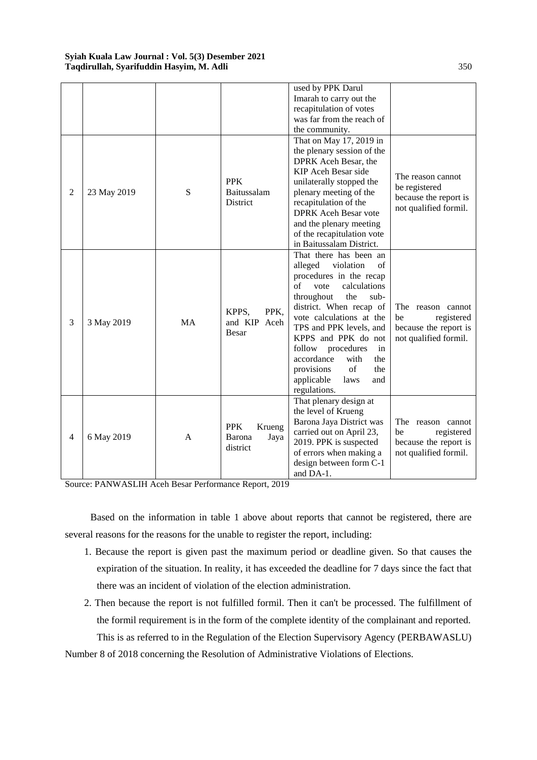|                |             |           |                                                    | used by PPK Darul           |                                    |
|----------------|-------------|-----------|----------------------------------------------------|-----------------------------|------------------------------------|
|                |             |           |                                                    | Imarah to carry out the     |                                    |
|                |             |           |                                                    | recapitulation of votes     |                                    |
|                |             |           |                                                    | was far from the reach of   |                                    |
|                |             |           |                                                    | the community.              |                                    |
|                |             |           |                                                    | That on May 17, 2019 in     |                                    |
|                |             |           |                                                    | the plenary session of the  |                                    |
|                |             |           |                                                    | DPRK Aceh Besar, the        |                                    |
|                |             |           |                                                    | KIP Aceh Besar side         |                                    |
|                |             |           | <b>PPK</b>                                         | unilaterally stopped the    | The reason cannot<br>be registered |
| $\overline{2}$ | 23 May 2019 | S         | Baitussalam                                        | plenary meeting of the      |                                    |
|                |             |           | District                                           | recapitulation of the       | because the report is              |
|                |             |           |                                                    | <b>DPRK</b> Aceh Besar vote | not qualified formil.              |
|                |             |           |                                                    | and the plenary meeting     |                                    |
|                |             |           |                                                    | of the recapitulation vote  |                                    |
|                |             |           |                                                    | in Baitussalam District.    |                                    |
|                |             |           |                                                    | That there has been an      |                                    |
|                |             | <b>MA</b> | PPK,<br>KPPS,<br>and KIP Aceh                      | violation<br>alleged<br>of  |                                    |
|                |             |           |                                                    | procedures in the recap     |                                    |
|                |             |           |                                                    | of<br>vote<br>calculations  |                                    |
|                |             |           |                                                    | throughout<br>the<br>$sub-$ |                                    |
|                |             |           |                                                    | district. When recap of     | The reason cannot                  |
|                |             |           |                                                    | vote calculations at the    | registered<br>be                   |
| 3              | 3 May 2019  |           |                                                    | TPS and PPK levels, and     | because the report is              |
|                |             |           | Besar                                              | KPPS and PPK do not         | not qualified formil.              |
|                |             |           |                                                    | follow<br>procedures<br>in  |                                    |
|                |             |           |                                                    | accordance<br>with<br>the   |                                    |
|                |             |           |                                                    | of<br>provisions<br>the     |                                    |
|                |             |           |                                                    | applicable<br>laws<br>and   |                                    |
|                |             |           |                                                    | regulations.                |                                    |
|                |             |           |                                                    | That plenary design at      |                                    |
| 4              | 6 May 2019  |           |                                                    | the level of Krueng         |                                    |
|                |             |           |                                                    | Barona Jaya District was    | The reason cannot                  |
|                |             | A         | <b>PPK</b><br>Krueng<br>Barona<br>Jaya<br>district | carried out on April 23,    | be<br>registered                   |
|                |             |           |                                                    | 2019. PPK is suspected      | because the report is              |
|                |             |           |                                                    | of errors when making a     | not qualified formil.              |
|                |             |           |                                                    | design between form C-1     |                                    |
|                |             |           |                                                    | and DA-1.                   |                                    |

Based on the information in table 1 above about reports that cannot be registered, there are several reasons for the reasons for the unable to register the report, including:

- 1. Because the report is given past the maximum period or deadline given. So that causes the expiration of the situation. In reality, it has exceeded the deadline for 7 days since the fact that there was an incident of violation of the election administration.
- 2. Then because the report is not fulfilled formil. Then it can't be processed. The fulfillment of the formil requirement is in the form of the complete identity of the complainant and reported. This is as referred to in the Regulation of the Election Supervisory Agency (PERBAWASLU)

Number 8 of 2018 concerning the Resolution of Administrative Violations of Elections.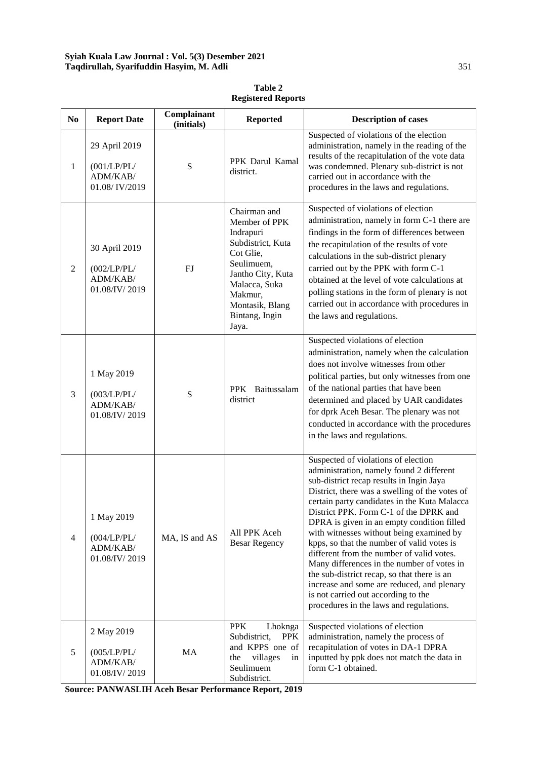| N <sub>0</sub> | <b>Report Date</b>                                        | Complainant<br>(initials) | <b>Reported</b>                                                                                                                                                                           | <b>Description of cases</b>                                                                                                                                                                                                                                                                                                                                                                                                                                                                                                                                                                                                                                                               |
|----------------|-----------------------------------------------------------|---------------------------|-------------------------------------------------------------------------------------------------------------------------------------------------------------------------------------------|-------------------------------------------------------------------------------------------------------------------------------------------------------------------------------------------------------------------------------------------------------------------------------------------------------------------------------------------------------------------------------------------------------------------------------------------------------------------------------------------------------------------------------------------------------------------------------------------------------------------------------------------------------------------------------------------|
| $\mathbf{1}$   | 29 April 2019<br>(001/LP/PL/<br>ADM/KAB/<br>01.08/IV/2019 | S                         | PPK Darul Kamal<br>district.                                                                                                                                                              | Suspected of violations of the election<br>administration, namely in the reading of the<br>results of the recapitulation of the vote data<br>was condemned. Plenary sub-district is not<br>carried out in accordance with the<br>procedures in the laws and regulations.                                                                                                                                                                                                                                                                                                                                                                                                                  |
| $\overline{2}$ | 30 April 2019<br>(002/LP/PL/<br>ADM/KAB/<br>01.08/IV/2019 | FJ                        | Chairman and<br>Member of PPK<br>Indrapuri<br>Subdistrict, Kuta<br>Cot Glie,<br>Seulimuem,<br>Jantho City, Kuta<br>Malacca, Suka<br>Makmur,<br>Montasik, Blang<br>Bintang, Ingin<br>Jaya. | Suspected of violations of election<br>administration, namely in form C-1 there are<br>findings in the form of differences between<br>the recapitulation of the results of vote<br>calculations in the sub-district plenary<br>carried out by the PPK with form C-1<br>obtained at the level of vote calculations at<br>polling stations in the form of plenary is not<br>carried out in accordance with procedures in<br>the laws and regulations.                                                                                                                                                                                                                                       |
| 3              | 1 May 2019<br>(003/LP/PL/<br>ADM/KAB/<br>01.08/IV/2019    | ${\bf S}$                 | PPK Baitussalam<br>district                                                                                                                                                               | Suspected violations of election<br>administration, namely when the calculation<br>does not involve witnesses from other<br>political parties, but only witnesses from one<br>of the national parties that have been<br>determined and placed by UAR candidates<br>for dprk Aceh Besar. The plenary was not<br>conducted in accordance with the procedures<br>in the laws and regulations.                                                                                                                                                                                                                                                                                                |
| $\overline{4}$ | 1 May 2019<br>(004/LP/PL/<br>ADM/KAB/<br>01.08/IV/2019    | MA, IS and AS             | All PPK Aceh<br><b>Besar Regency</b>                                                                                                                                                      | Suspected of violations of election<br>administration, namely found 2 different<br>sub-district recap results in Ingin Jaya<br>District, there was a swelling of the votes of<br>certain party candidates in the Kuta Malacca<br>District PPK. Form C-1 of the DPRK and<br>DPRA is given in an empty condition filled<br>with witnesses without being examined by<br>kpps, so that the number of valid votes is<br>different from the number of valid votes.<br>Many differences in the number of votes in<br>the sub-district recap, so that there is an<br>increase and some are reduced, and plenary<br>is not carried out according to the<br>procedures in the laws and regulations. |
| 5              | 2 May 2019<br>(005/LP/PL/<br>ADM/KAB/<br>01.08/IV/2019    | MA                        | <b>PPK</b><br>Lhoknga<br>Subdistrict,<br><b>PPK</b><br>and KPPS one of<br>villages<br>the<br>in<br>Seulimuem<br>Subdistrict.                                                              | Suspected violations of election<br>administration, namely the process of<br>recapitulation of votes in DA-1 DPRA<br>inputted by ppk does not match the data in<br>form C-1 obtained.                                                                                                                                                                                                                                                                                                                                                                                                                                                                                                     |

**Table 2 Registered Reports**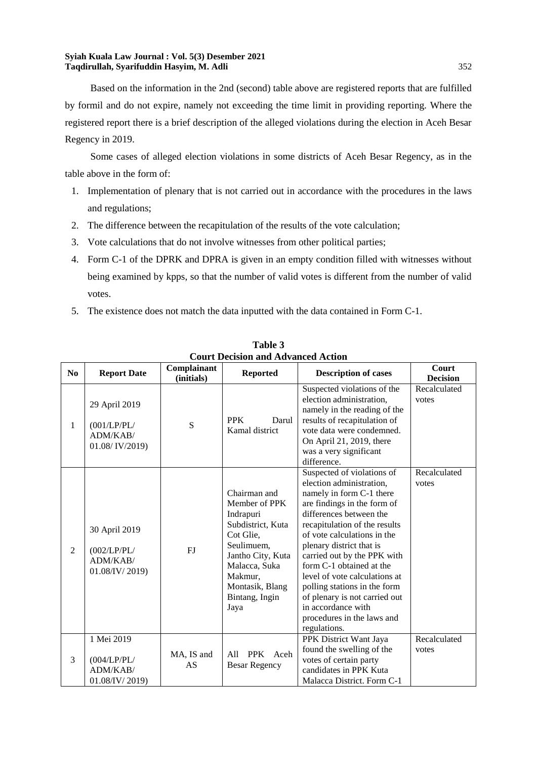Based on the information in the 2nd (second) table above are registered reports that are fulfilled by formil and do not expire, namely not exceeding the time limit in providing reporting. Where the registered report there is a brief description of the alleged violations during the election in Aceh Besar Regency in 2019.

Some cases of alleged election violations in some districts of Aceh Besar Regency, as in the table above in the form of:

- 1. Implementation of plenary that is not carried out in accordance with the procedures in the laws and regulations;
- 2. The difference between the recapitulation of the results of the vote calculation;
- 3. Vote calculations that do not involve witnesses from other political parties;
- 4. Form C-1 of the DPRK and DPRA is given in an empty condition filled with witnesses without being examined by kpps, so that the number of valid votes is different from the number of valid votes.
- 5. The existence does not match the data inputted with the data contained in Form C-1.

|                | Court Decision and Advanced Action                         |                           |                                                                                                                                                                                          |                                                                                                                                                                                                                                                                                                                                                                                                                                                                           |                          |  |
|----------------|------------------------------------------------------------|---------------------------|------------------------------------------------------------------------------------------------------------------------------------------------------------------------------------------|---------------------------------------------------------------------------------------------------------------------------------------------------------------------------------------------------------------------------------------------------------------------------------------------------------------------------------------------------------------------------------------------------------------------------------------------------------------------------|--------------------------|--|
| N <sub>0</sub> | <b>Report Date</b>                                         | Complainant<br>(initials) | <b>Reported</b>                                                                                                                                                                          | <b>Description of cases</b>                                                                                                                                                                                                                                                                                                                                                                                                                                               | Court<br><b>Decision</b> |  |
| $\mathbf{1}$   | 29 April 2019<br>(001/LP/PL/<br>ADM/KAB/<br>01.08/IV/2019) | S                         | <b>PPK</b><br>Darul<br>Kamal district                                                                                                                                                    | Suspected violations of the<br>election administration,<br>namely in the reading of the<br>results of recapitulation of<br>vote data were condemned.<br>On April 21, 2019, there<br>was a very significant<br>difference.                                                                                                                                                                                                                                                 | Recalculated<br>votes    |  |
| $\overline{2}$ | 30 April 2019<br>(002/LP/PL/<br>ADM/KAB/<br>01.08/IV/2019) | FJ                        | Chairman and<br>Member of PPK<br>Indrapuri<br>Subdistrict, Kuta<br>Cot Glie,<br>Seulimuem,<br>Jantho City, Kuta<br>Malacca, Suka<br>Makmur.<br>Montasik, Blang<br>Bintang, Ingin<br>Jaya | Suspected of violations of<br>election administration,<br>namely in form C-1 there<br>are findings in the form of<br>differences between the<br>recapitulation of the results<br>of vote calculations in the<br>plenary district that is<br>carried out by the PPK with<br>form C-1 obtained at the<br>level of vote calculations at<br>polling stations in the form<br>of plenary is not carried out<br>in accordance with<br>procedures in the laws and<br>regulations. | Recalculated<br>votes    |  |
| 3              | 1 Mei 2019<br>(004/LP/PL/<br>ADM/KAB/<br>01.08/IV/2019)    | MA, IS and<br>AS          | <b>PPK</b><br>Aceh<br>All<br><b>Besar Regency</b>                                                                                                                                        | PPK District Want Jaya<br>found the swelling of the<br>votes of certain party<br>candidates in PPK Kuta<br>Malacca District. Form C-1                                                                                                                                                                                                                                                                                                                                     | Recalculated<br>votes    |  |

**Table 3 Court Decision and Advanced Action**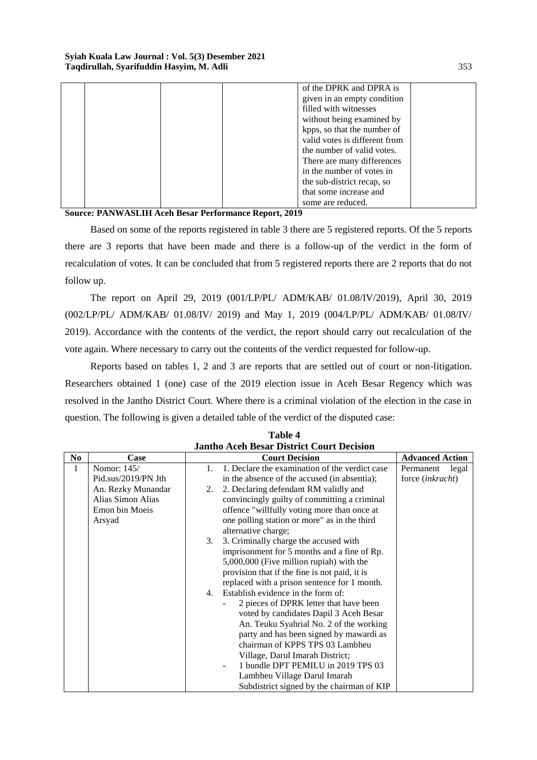|  |  | of the DPRK and DPRA is       |  |
|--|--|-------------------------------|--|
|  |  | given in an empty condition   |  |
|  |  | filled with witnesses         |  |
|  |  | without being examined by     |  |
|  |  | kpps, so that the number of   |  |
|  |  | valid votes is different from |  |
|  |  | the number of valid votes.    |  |
|  |  | There are many differences    |  |
|  |  | in the number of votes in     |  |
|  |  | the sub-district recap, so    |  |
|  |  | that some increase and        |  |
|  |  | some are reduced.             |  |

Based on some of the reports registered in table 3 there are 5 registered reports. Of the 5 reports there are 3 reports that have been made and there is a follow-up of the verdict in the form of recalculation of votes. It can be concluded that from 5 registered reports there are 2 reports that do not follow up.

The report on April 29, 2019 (001/LP/PL/ ADM/KAB/ 01.08/IV/2019), April 30, 2019 (002/LP/PL/ ADM/KAB/ 01.08/IV/ 2019) and May 1, 2019 (004/LP/PL/ ADM/KAB/ 01.08/IV/ 2019). Accordance with the contents of the verdict, the report should carry out recalculation of the vote again. Where necessary to carry out the contents of the verdict requested for follow-up.

Reports based on tables 1, 2 and 3 are reports that are settled out of court or non-litigation. Researchers obtained 1 (one) case of the 2019 election issue in Aceh Besar Regency which was resolved in the Jantho District Court. Where there is a criminal violation of the election in the case in question. The following is given a detailed table of the verdict of the disputed case:

| N <sub>0</sub> | Case                |    | <b>Court Decision</b>                          | <b>Advanced Action</b>  |
|----------------|---------------------|----|------------------------------------------------|-------------------------|
| 1              | Nomor: 145/         |    | 1. Declare the examination of the verdict case | Permanent<br>legal      |
|                | Pid.sus/2019/PN Jth |    | in the absence of the accused (in absentia);   | force <i>(inkracht)</i> |
|                | An. Rezky Munandar  | 2. | 2. Declaring defendant RM validly and          |                         |
|                | Alias Simon Alias   |    | convincingly guilty of committing a criminal   |                         |
|                | Emon bin Moeis      |    | offence "willfully voting more than once at    |                         |
|                | Arsyad              |    | one polling station or more" as in the third   |                         |
|                |                     |    | alternative charge;                            |                         |
|                |                     | 3. | 3. Criminally charge the accused with          |                         |
|                |                     |    | imprisonment for 5 months and a fine of Rp.    |                         |
|                |                     |    | 5,000,000 (Five million rupiah) with the       |                         |
|                |                     |    | provision that if the fine is not paid, it is  |                         |
|                |                     |    | replaced with a prison sentence for 1 month.   |                         |
|                |                     | 4. | Establish evidence in the form of:             |                         |
|                |                     |    | 2 pieces of DPRK letter that have been         |                         |
|                |                     |    | voted by candidates Dapil 3 Aceh Besar         |                         |
|                |                     |    | An. Teuku Syahrial No. 2 of the working        |                         |
|                |                     |    | party and has been signed by mawardi as        |                         |
|                |                     |    | chairman of KPPS TPS 03 Lambheu                |                         |
|                |                     |    | Village, Darul Imarah District;                |                         |
|                |                     |    | 1 bundle DPT PEMILU in 2019 TPS 03             |                         |
|                |                     |    | Lambheu Village Darul Imarah                   |                         |
|                |                     |    | Subdistrict signed by the chairman of KIP      |                         |

**Table 4 Jantho Aceh Besar District Court Decision**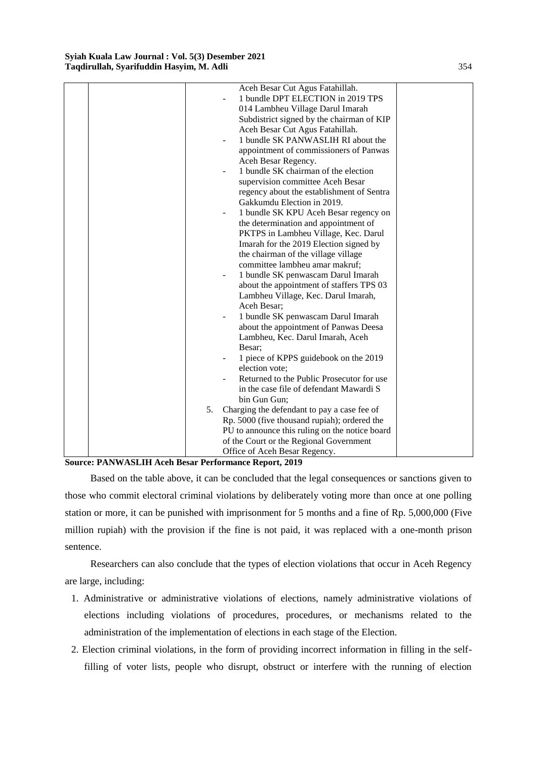|    | Aceh Besar Cut Agus Fatahillah.                                   |  |
|----|-------------------------------------------------------------------|--|
|    | 1 bundle DPT ELECTION in 2019 TPS                                 |  |
|    | 014 Lambheu Village Darul Imarah                                  |  |
|    | Subdistrict signed by the chairman of KIP                         |  |
|    | Aceh Besar Cut Agus Fatahillah.                                   |  |
|    | 1 bundle SK PANWASLIH RI about the                                |  |
|    | appointment of commissioners of Panwas                            |  |
|    | Aceh Besar Regency.                                               |  |
|    | 1 bundle SK chairman of the election                              |  |
|    | supervision committee Aceh Besar                                  |  |
|    | regency about the establishment of Sentra                         |  |
|    | Gakkumdu Election in 2019.                                        |  |
|    | 1 bundle SK KPU Aceh Besar regency on<br>$\overline{\phantom{a}}$ |  |
|    | the determination and appointment of                              |  |
|    | PKTPS in Lambheu Village, Kec. Darul                              |  |
|    | Imarah for the 2019 Election signed by                            |  |
|    | the chairman of the village village                               |  |
|    | committee lambheu amar makruf;                                    |  |
|    | 1 bundle SK penwascam Darul Imarah                                |  |
|    | about the appointment of staffers TPS 03                          |  |
|    | Lambheu Village, Kec. Darul Imarah,                               |  |
|    | Aceh Besar;                                                       |  |
|    | 1 bundle SK penwascam Darul Imarah                                |  |
|    | about the appointment of Panwas Deesa                             |  |
|    | Lambheu, Kec. Darul Imarah, Aceh                                  |  |
|    | Besar:                                                            |  |
|    | 1 piece of KPPS guidebook on the 2019                             |  |
|    | election vote;                                                    |  |
|    | Returned to the Public Prosecutor for use                         |  |
|    | in the case file of defendant Mawardi S                           |  |
|    | bin Gun Gun;                                                      |  |
| 5. | Charging the defendant to pay a case fee of                       |  |
|    | Rp. 5000 (five thousand rupiah); ordered the                      |  |
|    | PU to announce this ruling on the notice board                    |  |
|    | of the Court or the Regional Government                           |  |
|    | Office of Aceh Besar Regency.                                     |  |

Based on the table above, it can be concluded that the legal consequences or sanctions given to those who commit electoral criminal violations by deliberately voting more than once at one polling station or more, it can be punished with imprisonment for 5 months and a fine of Rp. 5,000,000 (Five million rupiah) with the provision if the fine is not paid, it was replaced with a one-month prison sentence.

Researchers can also conclude that the types of election violations that occur in Aceh Regency are large, including:

- 1. Administrative or administrative violations of elections, namely administrative violations of elections including violations of procedures, procedures, or mechanisms related to the administration of the implementation of elections in each stage of the Election.
- 2. Election criminal violations, in the form of providing incorrect information in filling in the selffilling of voter lists, people who disrupt, obstruct or interfere with the running of election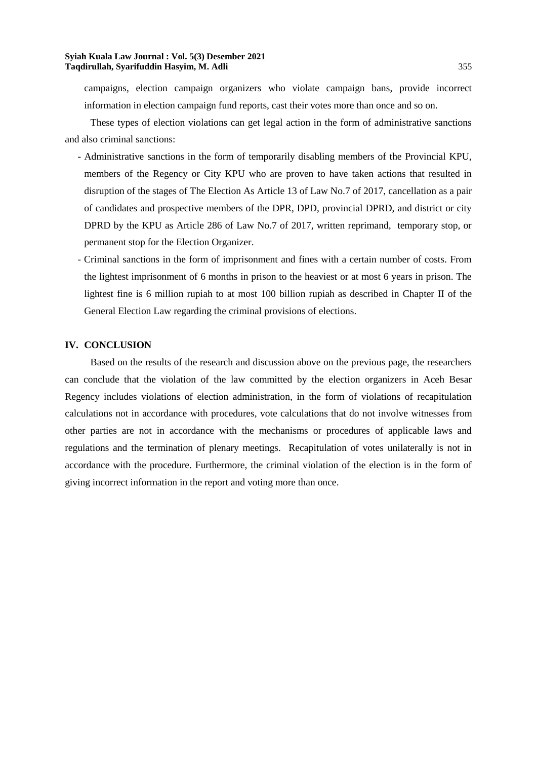campaigns, election campaign organizers who violate campaign bans, provide incorrect information in election campaign fund reports, cast their votes more than once and so on.

These types of election violations can get legal action in the form of administrative sanctions and also criminal sanctions:

- Administrative sanctions in the form of temporarily disabling members of the Provincial KPU, members of the Regency or City KPU who are proven to have taken actions that resulted in disruption of the stages of The Election As Article 13 of Law No.7 of 2017, cancellation as a pair of candidates and prospective members of the DPR, DPD, provincial DPRD, and district or city DPRD by the KPU as Article 286 of Law No.7 of 2017, written reprimand, temporary stop, or permanent stop for the Election Organizer.

- Criminal sanctions in the form of imprisonment and fines with a certain number of costs. From the lightest imprisonment of 6 months in prison to the heaviest or at most 6 years in prison. The lightest fine is 6 million rupiah to at most 100 billion rupiah as described in Chapter II of the General Election Law regarding the criminal provisions of elections.

#### **IV. CONCLUSION**

Based on the results of the research and discussion above on the previous page, the researchers can conclude that the violation of the law committed by the election organizers in Aceh Besar Regency includes violations of election administration, in the form of violations of recapitulation calculations not in accordance with procedures, vote calculations that do not involve witnesses from other parties are not in accordance with the mechanisms or procedures of applicable laws and regulations and the termination of plenary meetings. Recapitulation of votes unilaterally is not in accordance with the procedure. Furthermore, the criminal violation of the election is in the form of giving incorrect information in the report and voting more than once.